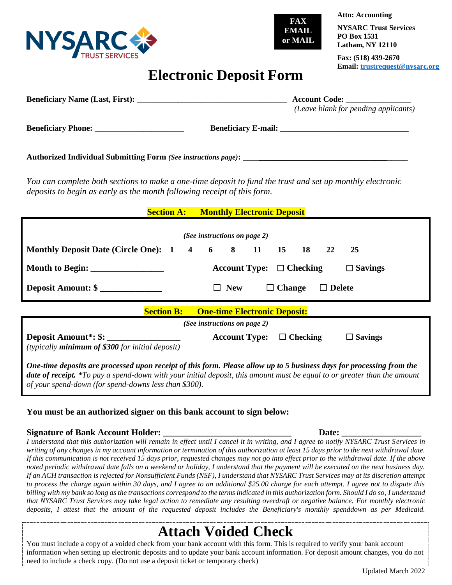



**NYSARC Trust Services PO Box 1531 Latham, NY 12110**

**Attn: Accounting**

**Fax: (518) 439-2670 Email: [trustrequest@nysarc.org](mailto:trustrequest@nysarc.org)**

### **Electronic Deposit Form**

|                                                                                                                                                                                                                                                                                                            | (Leave blank for pending applicants)            |
|------------------------------------------------------------------------------------------------------------------------------------------------------------------------------------------------------------------------------------------------------------------------------------------------------------|-------------------------------------------------|
|                                                                                                                                                                                                                                                                                                            |                                                 |
|                                                                                                                                                                                                                                                                                                            |                                                 |
| You can complete both sections to make a one-time deposit to fund the trust and set up monthly electronic<br>deposits to begin as early as the month following receipt of this form.                                                                                                                       |                                                 |
| <b>Section A: Monthly Electronic Deposit</b>                                                                                                                                                                                                                                                               |                                                 |
| (See instructions on page 2)                                                                                                                                                                                                                                                                               |                                                 |
| Monthly Deposit Date (Circle One): 1 4 6 8 11 15 18                                                                                                                                                                                                                                                        | 22<br>25                                        |
|                                                                                                                                                                                                                                                                                                            | Account Type: $\Box$ Checking<br>$\Box$ Savings |
| Deposit Amount: \$                                                                                                                                                                                                                                                                                         | $\Box$ Change<br>$\Box$ Delete<br>$\Box$ New    |
| <b>Section B:</b><br><b>One-time Electronic Deposit:</b>                                                                                                                                                                                                                                                   |                                                 |
|                                                                                                                                                                                                                                                                                                            | (See instructions on page 2)                    |
| Deposit Amount <sup>*</sup> : \$: ________________<br>(typically <b>minimum of \$300</b> for initial deposit)                                                                                                                                                                                              | Account Type: $\Box$ Checking<br>$\Box$ Savings |
| One-time deposits are processed upon receipt of this form. Please allow up to 5 business days for processing from the<br>date of receipt. *To pay a spend-down with your initial deposit, this amount must be equal to or greater than the amount<br>of your spend-down (for spend-downs less than \$300). |                                                 |

### **You must be an authorized signer on this bank account to sign below:**

#### **Signature of Bank Account Holder: \_\_\_\_\_\_\_\_\_\_\_\_\_\_\_\_\_\_\_\_\_\_\_\_\_\_\_\_\_ Date: \_\_\_\_\_\_\_\_\_\_\_\_\_\_\_\_\_\_**

*I understand that this authorization will remain in effect until I cancel it in writing, and I agree to notify NYSARC Trust Services in writing of any changes in my account information or termination of this authorization at least 15 days prior to the next withdrawal date. If this communication is not received 15 days prior, requested changes may not go into effect prior to the withdrawal date. If the above noted periodic withdrawal date falls on a weekend or holiday, I understand that the payment will be executed on the next business day. If an ACH transaction is rejected for Nonsufficient Funds (NSF), I understand that NYSARC Trust Services may at its discretion attempt to process the charge again within 30 days, and I agree to an additional \$25.00 charge for each attempt. I agree not to dispute this billing with my bank so long as the transactions correspond to the terms indicated in this authorization form. Should I do so, I understand that NYSARC Trust Services may take legal action to remediate any resulting overdraft or negative balance. For monthly electronic deposits, I attest that the amount of the requested deposit includes the Beneficiary's monthly spenddown as per Medicaid.*

# **Attach Voided Check**

You must include a copy of a voided check from your bank account with this form. This is required to verify your bank account information when setting up electronic deposits and to update your bank account information. For deposit amount changes, you do not need to include a check copy. (Do not use a deposit ticket or temporary check)